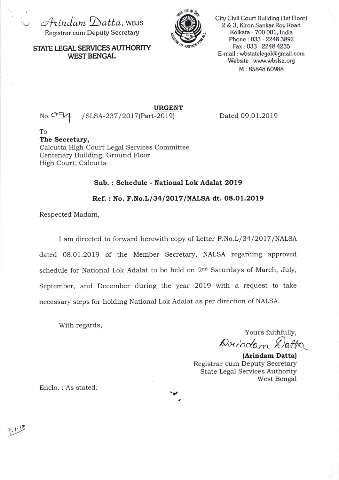$\cup$  Arindam Datta, WBJS Registrar cum Deputy Secretary



City Civil Court Building (1st Floor) 2 & 3, Kiron Sankar Roy Road Kolkata - 700 001, India Phone : 033 - 2248 3892 Fax : 033 - 2248 4235 E-mail : wbstatelegal@gmail.com Website : www.wbslsa.org M : 85848 60988

STATE LEGAL SERVICES AUTHORITY WEST BENGAL

URGENT

No.a"H / SLS A-237 I 20 1 7(Part-2o 1 9) Dated 09.01.2019

To The Secretary, Calcutta High Court Legal Services Committee Centenary Building, Ground Floor High Court, Calcutta

## Sub. : Schedule - National Lok Adalat 2O19

Ref.: No. F.No.L/34/2017/NALSA dt. 08.01.2019

Respected Madam,

I am directed to forward herewith copy of Letter F.No.L/34/2017/NALSA dated 08.01.2019 of the Member Secretary, NALSA regarding approved schedule for National Lok Adalat to be held on  $2<sup>nd</sup>$  Saturdays of March, July, September, and December during the year 2019 with a request to take necessary steps for holding National Lok Adalat as per direction of NALSA.

With regards,

Yours faithfully, Doundam Datta

(Arindam Datta) Registrar cum Deputy Secretary State Legal Services Authority West Bengal

Enclo. : As stated.

 $1.12$